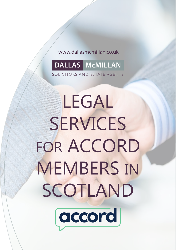#### www.dallasmcmillan.co.uk www.dallasmcmillan.co.uk

## **DALLAS McMILLAN**

CITORS AND ESTATE AGENTS

Regent Court, 70 West Regent Street, Glasgow G2 2QZ

**V.A.T. Registration No. 260 2635 83**

# **LEGAL** SERVICES  $FOR$   $ACCORD$ MEMBERS IN SCOTLAND **V.A.T. Invoice No. Our Ref:** T: 0141 333 6750 F: 0141 333 6760 F: 0141 333 677

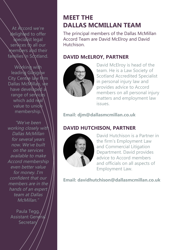At Accord we're delighted to offer specialist legal services to all our members and their families in Scotland.

Working with  $leq$ leading Glasgow City Centre law firm Dallas McNillan, we have developed a range of services which add real value to union membership.

"We've been working closely with Dallas McMillan for several years now. We've built on the services available to make Accord membership even better value for money. I'm confident that our members are in the hands of an expert team at Dallas McMillan."

Paula Tegg, Assistant General **Secretary** 

## **MEET THE DALLAS MCMILLAN TEAM**

The principal members of the Dallas McMillan Accord Team are David McElroy and David **Hutchison** 

#### **DAVID McELROY, PARTNER**



David McElroy is head of the team. He is a Law Society of Scotland Accredited Specialist in personal injury law and provides advice to Accord members on all personal injury matters and employment law issues.

**Email: djm@dallasmcmillan.co.uk**

#### **DAVID HUTCHISON, PARTNER**



David Hutchison is a Partner in the firm's Employment Law and Commercial Litigation Department. David provides advice to Accord members and officials on all aspects of Employment Law.

**Email: davidhutchison@dallasmcmillan.co.uk**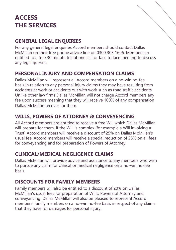## **ACCESS THE SERVICES**

#### **GENERAL LEGAL ENQUIRIES**

For any general legal enquiries Accord members should contact Dallas McMillan on their free phone advice line on 0300 303 1606. Members are entitled to a free 30 minute telephone call or face to face meeting to discuss any legal queries.

#### **PERSONAL INJURY AND COMPENSATION CLAIMS**

Dallas McMillan will represent all Accord members on a no-win no-fee basis in relation to any personal injury claims they may have resulting from accidents at work or accidents out with work such as road traffic accidents. Unlike other law firms Dallas McMillan will not charge Accord members any fee upon success meaning that they will receive 100% of any compensation Dallas McMillan recover for them.

#### **WILLS, POWERS OF ATTORNEY & CONVEYENCING**

All Accord members are entitled to receive a free Will which Dallas McMillan will prepare for them. If the Will is complex (for example a Will involving a Trust) Accord members will receive a discount of 25% on Dallas McMillan's usual fee. Accord members will receive a special reduction of 25% on all fees for conveyancing and for preparation of Powers of Attorney.

#### **CLINICAL/MEDICAL NEGLIGENCE CLAIMS**

Dallas McMillan will provide advice and assistance to any members who wish to pursue any claim for clinical or medical negligence on a no-win no-fee basis.

#### **DISCOUNTS FOR FAMILY MEMBERS**

Family members will also be entitled to a discount of 20% on Dallas McMillan's usual fees for preparation of Wills, Powers of Attorney and conveyancing. Dallas McMillan will also be pleased to represent Accord members' family members on a no-win no-fee basis in respect of any claims that they have for damages for personal injury.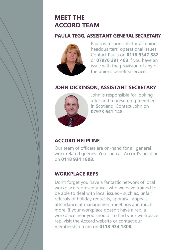## **MEET THE ACCORD TEAM**

#### **PAULA TEGG, ASSISTANT GENERAL SECRETARY**



Paula is responsible for all union headquarters' operational issues. Contact Paula on **0118 9347 882** or **07976 291 468** if you have an issue with the provision of any of the unions benefits/services.

#### **JOHN DICKINSON, ASSISTANT SECRETARY**



John is responsible for looking after and representing members in Scotland. Contact John on **07973 641 148**.

#### **ACCORD HELPLINE**

Our team of officers are on-hand for all general work related queries. You can call Accord's helpline on **0118 934 1808**.

#### **WORKPLACE REPS**

Don't forget you have a fantastic network of local workplace representatives who we have trained to be able to deal with local issues - such as, unfair refusals of holiday requests, appraisal appeals, attendance at management meetings and much more. If your workplace doesn't have a rep, a workplace near you should. To find your workplace rep, visit the Accord website or contact our membership team on **0118 934 1808.**